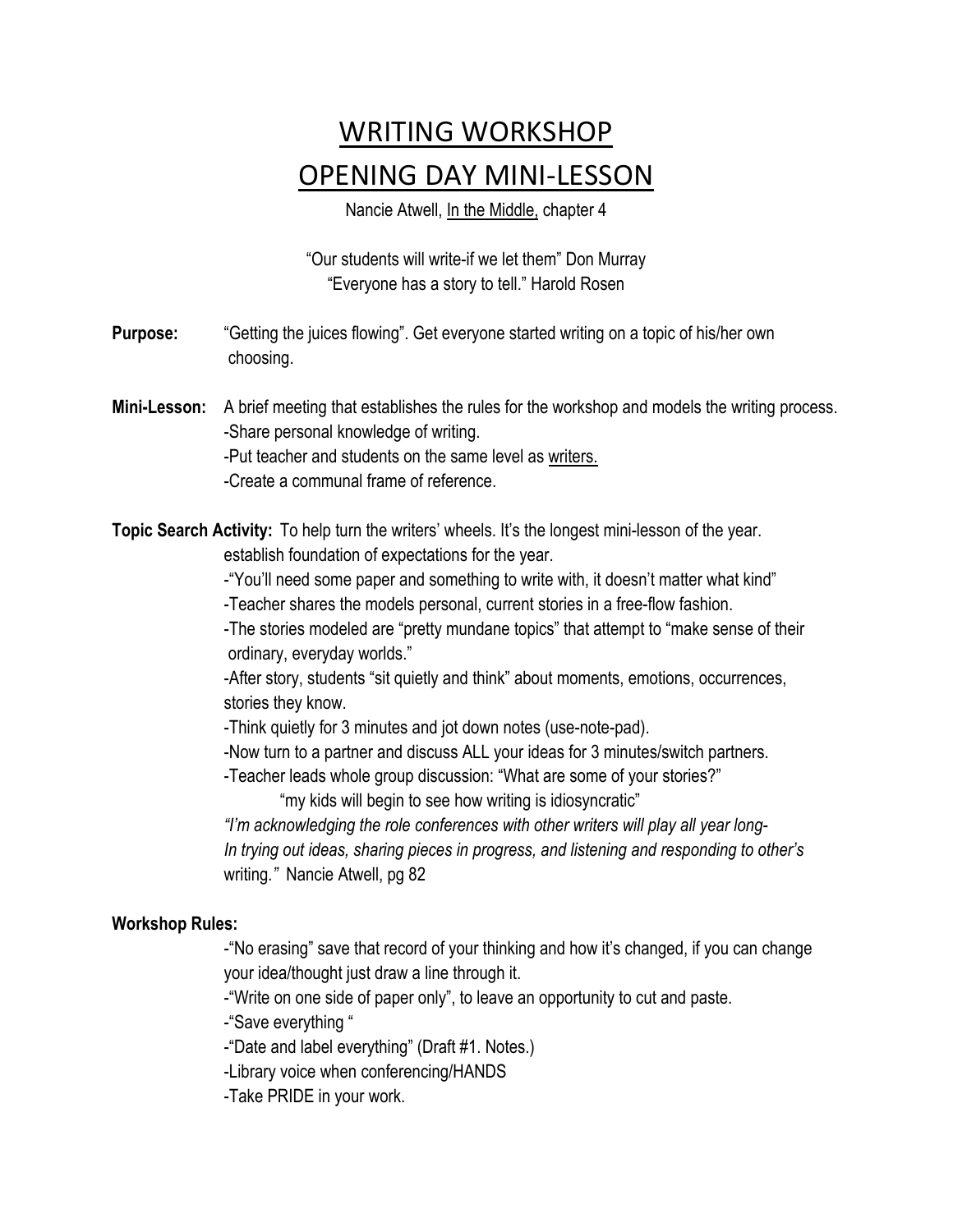## WRITING WORKSHOP OPENING DAY MINI-LESSON

Nancie Atwell, In the Middle, chapter 4

"Our students will write-if we let them" Don Murray "Everyone has a story to tell." Harold Rosen

**Purpose:** "Getting the juices flowing". Get everyone started writing on a topic of his/her own choosing.

**Mini-Lesson:** A brief meeting that establishes the rules for the workshop and models the writing process. -Share personal knowledge of writing. -Put teacher and students on the same level as writers.

-Create a communal frame of reference.

**Topic Search Activity:** To help turn the writers' wheels. It's the longest mini-lesson of the year. establish foundation of expectations for the year.

-"You'll need some paper and something to write with, it doesn't matter what kind"

-Teacher shares the models personal, current stories in a free-flow fashion.

-The stories modeled are "pretty mundane topics" that attempt to "make sense of their ordinary, everyday worlds."

-After story, students "sit quietly and think" about moments, emotions, occurrences, stories they know.

-Think quietly for 3 minutes and jot down notes (use-note-pad).

-Now turn to a partner and discuss ALL your ideas for 3 minutes/switch partners.

-Teacher leads whole group discussion: "What are some of your stories?"

"my kids will begin to see how writing is idiosyncratic"

*"I'm acknowledging the role conferences with other writers will play all year long-In trying out ideas, sharing pieces in progress, and listening and responding to other's*  writing*."* Nancie Atwell, pg 82

## **Workshop Rules:**

-"No erasing" save that record of your thinking and how it's changed, if you can change your idea/thought just draw a line through it.

-"Write on one side of paper only", to leave an opportunity to cut and paste.

-"Save everything "

-"Date and label everything" (Draft #1. Notes.)

-Library voice when conferencing/HANDS

-Take PRIDE in your work.